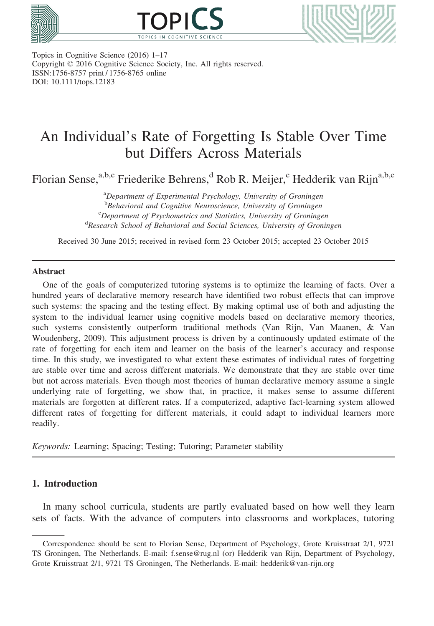





Topics in Cognitive Science (2016) 1–17 Copyright © 2016 Cognitive Science Society, Inc. All rights reserved. ISSN:1756-8757 print / 1756-8765 online DOI: 10.1111/tops.12183

# An Individual's Rate of Forgetting Is Stable Over Time but Differs Across Materials

Florian Sense,<sup>a,b,c</sup> Friederike Behrens,<sup>d</sup> Rob R. Meijer,<sup>c</sup> Hedderik van Rijn<sup>a,b,c</sup>

<sup>a</sup>Department of Experimental Psychology, University of Groningen <sup>b</sup>Behavioral and Cognitive Neuroscience, University of Groningen  ${}^c$ Department of Psychometrics and Statistics, University of Groningen <sup>d</sup>Research School of Behavioral and Social Sciences, University of Groningen

Received 30 June 2015; received in revised form 23 October 2015; accepted 23 October 2015

## Abstract

One of the goals of computerized tutoring systems is to optimize the learning of facts. Over a hundred years of declarative memory research have identified two robust effects that can improve such systems: the spacing and the testing effect. By making optimal use of both and adjusting the system to the individual learner using cognitive models based on declarative memory theories, such systems consistently outperform traditional methods (Van Rijn, Van Maanen, & Van Woudenberg, 2009). This adjustment process is driven by a continuously updated estimate of the rate of forgetting for each item and learner on the basis of the learner's accuracy and response time. In this study, we investigated to what extent these estimates of individual rates of forgetting are stable over time and across different materials. We demonstrate that they are stable over time but not across materials. Even though most theories of human declarative memory assume a single underlying rate of forgetting, we show that, in practice, it makes sense to assume different materials are forgotten at different rates. If a computerized, adaptive fact-learning system allowed different rates of forgetting for different materials, it could adapt to individual learners more readily.

Keywords: Learning; Spacing; Testing; Tutoring; Parameter stability

## 1. Introduction

In many school curricula, students are partly evaluated based on how well they learn sets of facts. With the advance of computers into classrooms and workplaces, tutoring

Correspondence should be sent to Florian Sense, Department of Psychology, Grote Kruisstraat 2/1, 9721 TS Groningen, The Netherlands. E-mail: f.sense@rug.nl (or) Hedderik van Rijn, Department of Psychology, Grote Kruisstraat 2/1, 9721 TS Groningen, The Netherlands. E-mail: hedderik@van-rijn.org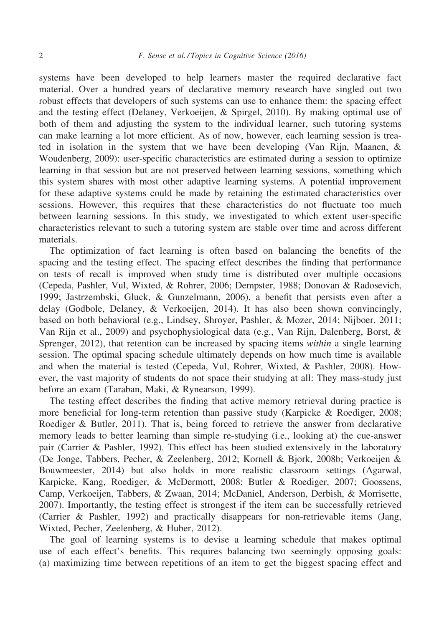systems have been developed to help learners master the required declarative fact material. Over a hundred years of declarative memory research have singled out two robust effects that developers of such systems can use to enhance them: the spacing effect and the testing effect (Delaney, Verkoeijen, & Spirgel, 2010). By making optimal use of both of them and adjusting the system to the individual learner, such tutoring systems can make learning a lot more efficient. As of now, however, each learning session is treated in isolation in the system that we have been developing (Van Rijn, Maanen, & Woudenberg, 2009): user-specific characteristics are estimated during a session to optimize learning in that session but are not preserved between learning sessions, something which this system shares with most other adaptive learning systems. A potential improvement for these adaptive systems could be made by retaining the estimated characteristics over sessions. However, this requires that these characteristics do not fluctuate too much between learning sessions. In this study, we investigated to which extent user-specific characteristics relevant to such a tutoring system are stable over time and across different materials.

The optimization of fact learning is often based on balancing the benefits of the spacing and the testing effect. The spacing effect describes the finding that performance on tests of recall is improved when study time is distributed over multiple occasions (Cepeda, Pashler, Vul, Wixted, & Rohrer, 2006; Dempster, 1988; Donovan & Radosevich, 1999; Jastrzembski, Gluck, & Gunzelmann, 2006), a benefit that persists even after a delay (Godbole, Delaney, & Verkoeijen, 2014). It has also been shown convincingly, based on both behavioral (e.g., Lindsey, Shroyer, Pashler, & Mozer, 2014; Nijboer, 2011; Van Rijn et al., 2009) and psychophysiological data (e.g., Van Rijn, Dalenberg, Borst, & Sprenger, 2012), that retention can be increased by spacing items *within* a single learning session. The optimal spacing schedule ultimately depends on how much time is available and when the material is tested (Cepeda, Vul, Rohrer, Wixted, & Pashler, 2008). However, the vast majority of students do not space their studying at all: They mass-study just before an exam (Taraban, Maki, & Rynearson, 1999).

The testing effect describes the finding that active memory retrieval during practice is more beneficial for long-term retention than passive study (Karpicke & Roediger, 2008; Roediger & Butler, 2011). That is, being forced to retrieve the answer from declarative memory leads to better learning than simple re-studying (i.e., looking at) the cue-answer pair (Carrier & Pashler, 1992). This effect has been studied extensively in the laboratory (De Jonge, Tabbers, Pecher, & Zeelenberg, 2012; Kornell & Bjork, 2008b; Verkoeijen & Bouwmeester, 2014) but also holds in more realistic classroom settings (Agarwal, Karpicke, Kang, Roediger, & McDermott, 2008; Butler & Roediger, 2007; Goossens, Camp, Verkoeijen, Tabbers, & Zwaan, 2014; McDaniel, Anderson, Derbish, & Morrisette, 2007). Importantly, the testing effect is strongest if the item can be successfully retrieved (Carrier & Pashler, 1992) and practically disappears for non-retrievable items (Jang, Wixted, Pecher, Zeelenberg, & Huber, 2012).

The goal of learning systems is to devise a learning schedule that makes optimal use of each effect's benefits. This requires balancing two seemingly opposing goals: (a) maximizing time between repetitions of an item to get the biggest spacing effect and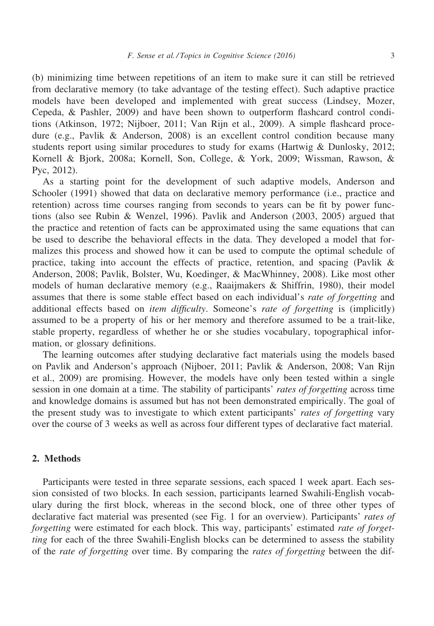(b) minimizing time between repetitions of an item to make sure it can still be retrieved from declarative memory (to take advantage of the testing effect). Such adaptive practice models have been developed and implemented with great success (Lindsey, Mozer, Cepeda, & Pashler, 2009) and have been shown to outperform flashcard control conditions (Atkinson, 1972; Nijboer, 2011; Van Rijn et al., 2009). A simple flashcard procedure (e.g., Pavlik & Anderson, 2008) is an excellent control condition because many students report using similar procedures to study for exams (Hartwig & Dunlosky, 2012; Kornell & Bjork, 2008a; Kornell, Son, College, & York, 2009; Wissman, Rawson, & Pyc, 2012).

As a starting point for the development of such adaptive models, Anderson and Schooler (1991) showed that data on declarative memory performance (i.e., practice and retention) across time courses ranging from seconds to years can be fit by power functions (also see Rubin & Wenzel, 1996). Pavlik and Anderson (2003, 2005) argued that the practice and retention of facts can be approximated using the same equations that can be used to describe the behavioral effects in the data. They developed a model that formalizes this process and showed how it can be used to compute the optimal schedule of practice, taking into account the effects of practice, retention, and spacing (Pavlik & Anderson, 2008; Pavlik, Bolster, Wu, Koedinger, & MacWhinney, 2008). Like most other models of human declarative memory (e.g., Raaijmakers & Shiffrin, 1980), their model assumes that there is some stable effect based on each individual's rate of forgetting and additional effects based on *item difficulty*. Someone's *rate of forgetting* is (implicitly) assumed to be a property of his or her memory and therefore assumed to be a trait-like, stable property, regardless of whether he or she studies vocabulary, topographical information, or glossary definitions.

The learning outcomes after studying declarative fact materials using the models based on Pavlik and Anderson's approach (Nijboer, 2011; Pavlik & Anderson, 2008; Van Rijn et al., 2009) are promising. However, the models have only been tested within a single session in one domain at a time. The stability of participants' rates of forgetting across time and knowledge domains is assumed but has not been demonstrated empirically. The goal of the present study was to investigate to which extent participants' rates of forgetting vary over the course of 3 weeks as well as across four different types of declarative fact material.

### 2. Methods

Participants were tested in three separate sessions, each spaced 1 week apart. Each session consisted of two blocks. In each session, participants learned Swahili-English vocabulary during the first block, whereas in the second block, one of three other types of declarative fact material was presented (see Fig. 1 for an overview). Participants' rates of forgetting were estimated for each block. This way, participants' estimated rate of forgetting for each of the three Swahili-English blocks can be determined to assess the stability of the rate of forgetting over time. By comparing the rates of forgetting between the dif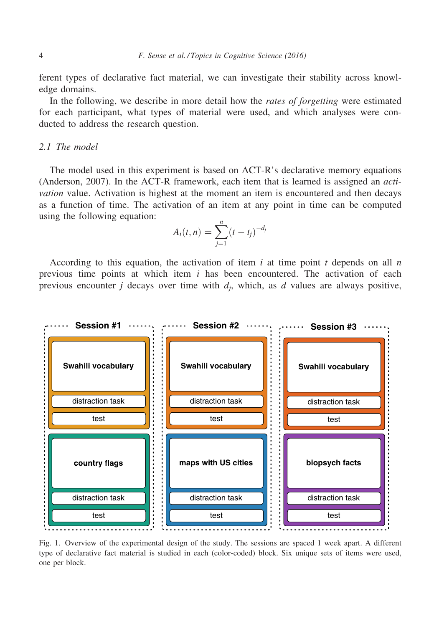ferent types of declarative fact material, we can investigate their stability across knowledge domains.

In the following, we describe in more detail how the *rates of forgetting* were estimated for each participant, what types of material were used, and which analyses were conducted to address the research question.

# 2.1 The model

The model used in this experiment is based on ACT-R's declarative memory equations (Anderson, 2007). In the ACT-R framework, each item that is learned is assigned an activation value. Activation is highest at the moment an item is encountered and then decays as a function of time. The activation of an item at any point in time can be computed using the following equation:

$$
A_i(t, n) = \sum_{j=1}^n (t - t_j)^{-d_j}
$$

According to this equation, the activation of item i at time point t depends on all  $n$ previous time points at which item  $i$  has been encountered. The activation of each previous encounter *j* decays over time with  $d_i$ , which, as  $d$  values are always positive,



Fig. 1. Overview of the experimental design of the study. The sessions are spaced 1 week apart. A different type of declarative fact material is studied in each (color-coded) block. Six unique sets of items were used, one per block.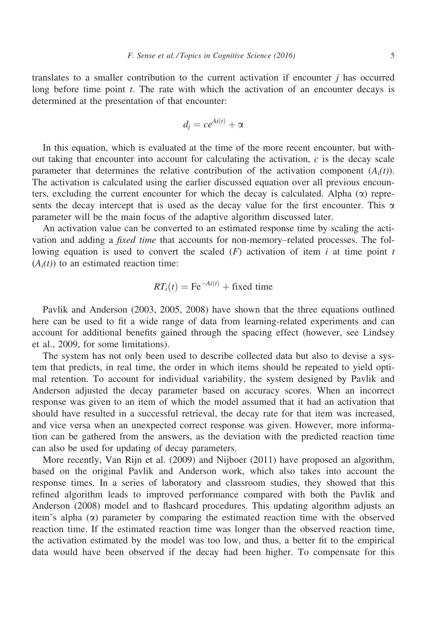translates to a smaller contribution to the current activation if encounter  $i$  has occurred long before time point  $t$ . The rate with which the activation of an encounter decays is determined at the presentation of that encounter:

$$
d_j = ce^{Ai(t)} + \alpha
$$

In this equation, which is evaluated at the time of the more recent encounter, but without taking that encounter into account for calculating the activation,  $c$  is the decay scale parameter that determines the relative contribution of the activation component  $(A<sub>i</sub>(t))$ . The activation is calculated using the earlier discussed equation over all previous encounters, excluding the current encounter for which the decay is calculated. Alpha  $(\alpha)$  represents the decay intercept that is used as the decay value for the first encounter. This  $\alpha$ parameter will be the main focus of the adaptive algorithm discussed later.

An activation value can be converted to an estimated response time by scaling the activation and adding a fixed time that accounts for non-memory–related processes. The following equation is used to convert the scaled  $(F)$  activation of item i at time point t  $(A_i(t))$  to an estimated reaction time:

$$
RT_i(t) = \text{Fe}^{-Ai(t)} + \text{fixed time}
$$

Pavlik and Anderson (2003, 2005, 2008) have shown that the three equations outlined here can be used to fit a wide range of data from learning-related experiments and can account for additional benefits gained through the spacing effect (however, see Lindsey et al., 2009, for some limitations).

The system has not only been used to describe collected data but also to devise a system that predicts, in real time, the order in which items should be repeated to yield optimal retention. To account for individual variability, the system designed by Pavlik and Anderson adjusted the decay parameter based on accuracy scores. When an incorrect response was given to an item of which the model assumed that it had an activation that should have resulted in a successful retrieval, the decay rate for that item was increased, and vice versa when an unexpected correct response was given. However, more information can be gathered from the answers, as the deviation with the predicted reaction time can also be used for updating of decay parameters.

More recently, Van Rijn et al. (2009) and Nijboer (2011) have proposed an algorithm, based on the original Pavlik and Anderson work, which also takes into account the response times. In a series of laboratory and classroom studies, they showed that this refined algorithm leads to improved performance compared with both the Pavlik and Anderson (2008) model and to flashcard procedures. This updating algorithm adjusts an item's alpha  $(\alpha)$  parameter by comparing the estimated reaction time with the observed reaction time. If the estimated reaction time was longer than the observed reaction time, the activation estimated by the model was too low, and thus, a better fit to the empirical data would have been observed if the decay had been higher. To compensate for this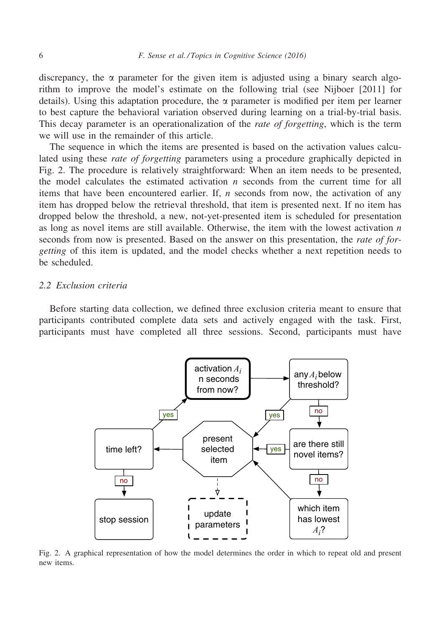discrepancy, the  $\alpha$  parameter for the given item is adjusted using a binary search algorithm to improve the model's estimate on the following trial (see Nijboer [2011] for details). Using this adaptation procedure, the  $\alpha$  parameter is modified per item per learner to best capture the behavioral variation observed during learning on a trial-by-trial basis. This decay parameter is an operationalization of the *rate of forgetting*, which is the term we will use in the remainder of this article.

The sequence in which the items are presented is based on the activation values calculated using these *rate of forgetting* parameters using a procedure graphically depicted in Fig. 2. The procedure is relatively straightforward: When an item needs to be presented, the model calculates the estimated activation  $n$  seconds from the current time for all items that have been encountered earlier. If,  $n$  seconds from now, the activation of any item has dropped below the retrieval threshold, that item is presented next. If no item has dropped below the threshold, a new, not-yet-presented item is scheduled for presentation as long as novel items are still available. Otherwise, the item with the lowest activation  $n$ seconds from now is presented. Based on the answer on this presentation, the *rate of for*getting of this item is updated, and the model checks whether a next repetition needs to be scheduled.

## 2.2 Exclusion criteria

Before starting data collection, we defined three exclusion criteria meant to ensure that participants contributed complete data sets and actively engaged with the task. First, participants must have completed all three sessions. Second, participants must have



Fig. 2. A graphical representation of how the model determines the order in which to repeat old and present new items.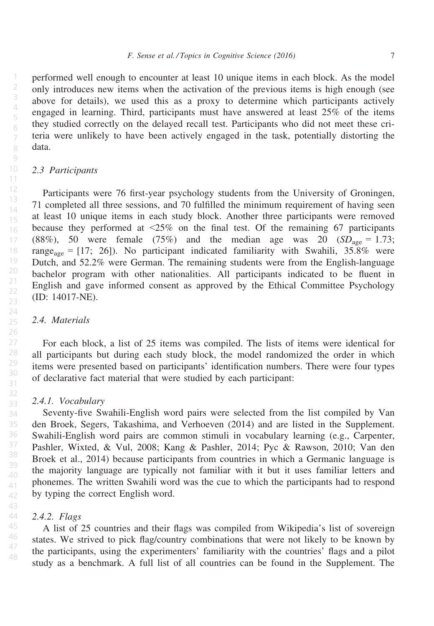performed well enough to encounter at least 10 unique items in each block. As the model only introduces new items when the activation of the previous items is high enough (see above for details), we used this as a proxy to determine which participants actively engaged in learning. Third, participants must have answered at least 25% of the items they studied correctly on the delayed recall test. Participants who did not meet these criteria were unlikely to have been actively engaged in the task, potentially distorting the data.

# 2.3 Participants

Participants were 76 first-year psychology students from the University of Groningen, 71 completed all three sessions, and 70 fulfilled the minimum requirement of having seen at least 10 unique items in each study block. Another three participants were removed because they performed at  $\leq 25\%$  on the final test. Of the remaining 67 participants (88%), 50 were female (75%) and the median age was 20  $(SD<sub>age</sub> = 1.73;$ range<sub>age</sub> = [17; 26]). No participant indicated familiarity with Swahili,  $35.8\%$  were Dutch, and 52.2% were German. The remaining students were from the English-language bachelor program with other nationalities. All participants indicated to be fluent in English and gave informed consent as approved by the Ethical Committee Psychology (ID: 14017-NE).

## 2.4. Materials

For each block, a list of 25 items was compiled. The lists of items were identical for all participants but during each study block, the model randomized the order in which items were presented based on participants' identification numbers. There were four types of declarative fact material that were studied by each participant:

## 2.4.1. Vocabulary

Seventy-five Swahili-English word pairs were selected from the list compiled by Van den Broek, Segers, Takashima, and Verhoeven (2014) and are listed in the Supplement. Swahili-English word pairs are common stimuli in vocabulary learning (e.g., Carpenter, Pashler, Wixted, & Vul, 2008; Kang & Pashler, 2014; Pyc & Rawson, 2010; Van den Broek et al., 2014) because participants from countries in which a Germanic language is the majority language are typically not familiar with it but it uses familiar letters and phonemes. The written Swahili word was the cue to which the participants had to respond by typing the correct English word.

# 2.4.2. Flags

A list of 25 countries and their flags was compiled from Wikipedia's list of sovereign states. We strived to pick flag/country combinations that were not likely to be known by the participants, using the experimenters' familiarity with the countries' flags and a pilot study as a benchmark. A full list of all countries can be found in the Supplement. The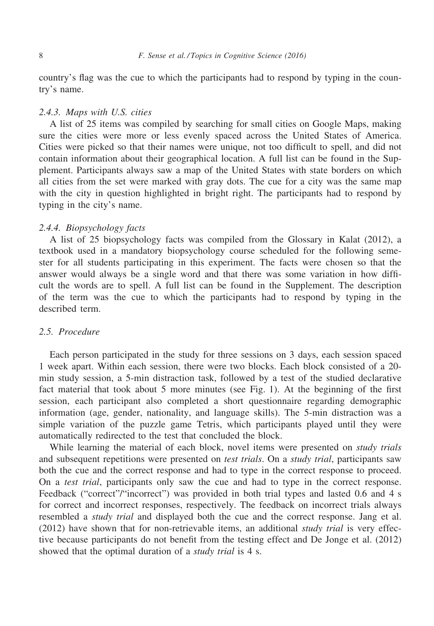country's flag was the cue to which the participants had to respond by typing in the country's name.

#### 2.4.3. Maps with U.S. cities

A list of 25 items was compiled by searching for small cities on Google Maps, making sure the cities were more or less evenly spaced across the United States of America. Cities were picked so that their names were unique, not too difficult to spell, and did not contain information about their geographical location. A full list can be found in the Supplement. Participants always saw a map of the United States with state borders on which all cities from the set were marked with gray dots. The cue for a city was the same map with the city in question highlighted in bright right. The participants had to respond by typing in the city's name.

#### 2.4.4. Biopsychology facts

A list of 25 biopsychology facts was compiled from the Glossary in Kalat (2012), a textbook used in a mandatory biopsychology course scheduled for the following semester for all students participating in this experiment. The facts were chosen so that the answer would always be a single word and that there was some variation in how difficult the words are to spell. A full list can be found in the Supplement. The description of the term was the cue to which the participants had to respond by typing in the described term.

## 2.5. Procedure

Each person participated in the study for three sessions on 3 days, each session spaced 1 week apart. Within each session, there were two blocks. Each block consisted of a 20 min study session, a 5-min distraction task, followed by a test of the studied declarative fact material that took about 5 more minutes (see Fig. 1). At the beginning of the first session, each participant also completed a short questionnaire regarding demographic information (age, gender, nationality, and language skills). The 5-min distraction was a simple variation of the puzzle game Tetris, which participants played until they were automatically redirected to the test that concluded the block.

While learning the material of each block, novel items were presented on *study trials* and subsequent repetitions were presented on *test trials*. On a *study trial*, participants saw both the cue and the correct response and had to type in the correct response to proceed. On a test trial, participants only saw the cue and had to type in the correct response. Feedback ("correct"/"incorrect") was provided in both trial types and lasted 0.6 and 4 s for correct and incorrect responses, respectively. The feedback on incorrect trials always resembled a *study trial* and displayed both the cue and the correct response. Jang et al. (2012) have shown that for non-retrievable items, an additional study trial is very effective because participants do not benefit from the testing effect and De Jonge et al. (2012) showed that the optimal duration of a *study trial* is 4 s.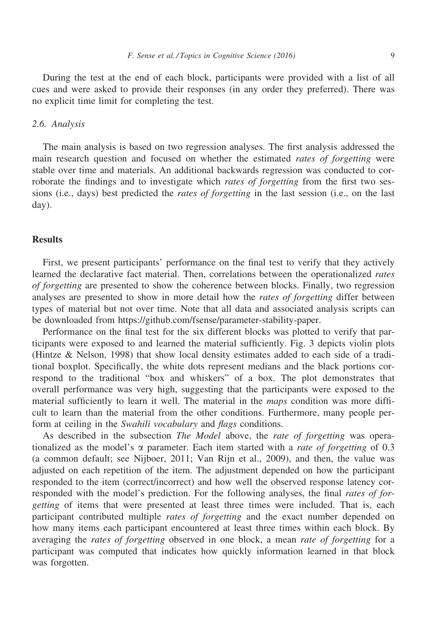During the test at the end of each block, participants were provided with a list of all cues and were asked to provide their responses (in any order they preferred). There was no explicit time limit for completing the test.

#### 2.6. Analysis

The main analysis is based on two regression analyses. The first analysis addressed the main research question and focused on whether the estimated rates of forgetting were stable over time and materials. An additional backwards regression was conducted to corroborate the findings and to investigate which *rates of forgetting* from the first two sessions (i.e., days) best predicted the rates of forgetting in the last session (i.e., on the last day).

## **Results**

First, we present participants' performance on the final test to verify that they actively learned the declarative fact material. Then, correlations between the operationalized rates of forgetting are presented to show the coherence between blocks. Finally, two regression analyses are presented to show in more detail how the rates of forgetting differ between types of material but not over time. Note that all data and associated analysis scripts can be downloaded from<https://github.com/fsense/parameter-stability-paper>.

Performance on the final test for the six different blocks was plotted to verify that participants were exposed to and learned the material sufficiently. Fig. 3 depicts violin plots (Hintze & Nelson, 1998) that show local density estimates added to each side of a traditional boxplot. Specifically, the white dots represent medians and the black portions correspond to the traditional "box and whiskers" of a box. The plot demonstrates that overall performance was very high, suggesting that the participants were exposed to the material sufficiently to learn it well. The material in the maps condition was more difficult to learn than the material from the other conditions. Furthermore, many people perform at ceiling in the *Swahili vocabulary* and *flags* conditions.

As described in the subsection *The Model* above, the *rate of forgetting* was operationalized as the model's  $\alpha$  parameter. Each item started with a *rate of forgetting* of 0.3 (a common default; see Nijboer, 2011; Van Rijn et al., 2009), and then, the value was adjusted on each repetition of the item. The adjustment depended on how the participant responded to the item (correct/incorrect) and how well the observed response latency corresponded with the model's prediction. For the following analyses, the final rates of forgetting of items that were presented at least three times were included. That is, each participant contributed multiple rates of forgetting and the exact number depended on how many items each participant encountered at least three times within each block. By averaging the rates of forgetting observed in one block, a mean rate of forgetting for a participant was computed that indicates how quickly information learned in that block was forgotten.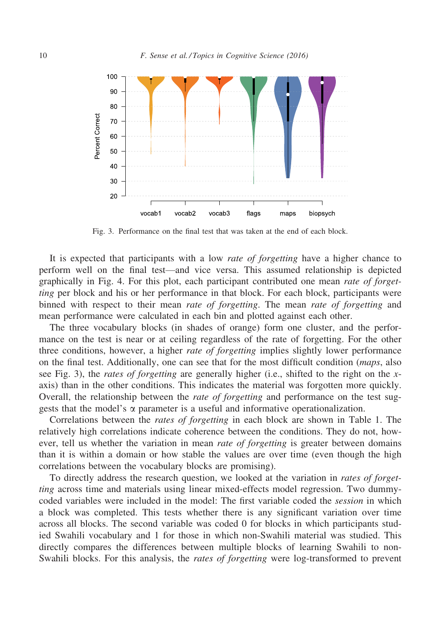

Fig. 3. Performance on the final test that was taken at the end of each block.

It is expected that participants with a low *rate of forgetting* have a higher chance to perform well on the final test—and vice versa. This assumed relationship is depicted graphically in Fig. 4. For this plot, each participant contributed one mean rate of forgetting per block and his or her performance in that block. For each block, participants were binned with respect to their mean rate of forgetting. The mean rate of forgetting and mean performance were calculated in each bin and plotted against each other.

The three vocabulary blocks (in shades of orange) form one cluster, and the performance on the test is near or at ceiling regardless of the rate of forgetting. For the other three conditions, however, a higher rate of forgetting implies slightly lower performance on the final test. Additionally, one can see that for the most difficult condition (maps, also see Fig. 3), the *rates of forgetting* are generally higher (i.e., shifted to the right on the  $x$ axis) than in the other conditions. This indicates the material was forgotten more quickly. Overall, the relationship between the *rate of forgetting* and performance on the test suggests that the model's  $\alpha$  parameter is a useful and informative operationalization.

Correlations between the rates of forgetting in each block are shown in Table 1. The relatively high correlations indicate coherence between the conditions. They do not, however, tell us whether the variation in mean *rate of forgetting* is greater between domains than it is within a domain or how stable the values are over time (even though the high correlations between the vocabulary blocks are promising).

To directly address the research question, we looked at the variation in *rates of forget*ting across time and materials using linear mixed-effects model regression. Two dummycoded variables were included in the model: The first variable coded the session in which a block was completed. This tests whether there is any significant variation over time across all blocks. The second variable was coded 0 for blocks in which participants studied Swahili vocabulary and 1 for those in which non-Swahili material was studied. This directly compares the differences between multiple blocks of learning Swahili to non-Swahili blocks. For this analysis, the *rates of forgetting* were log-transformed to prevent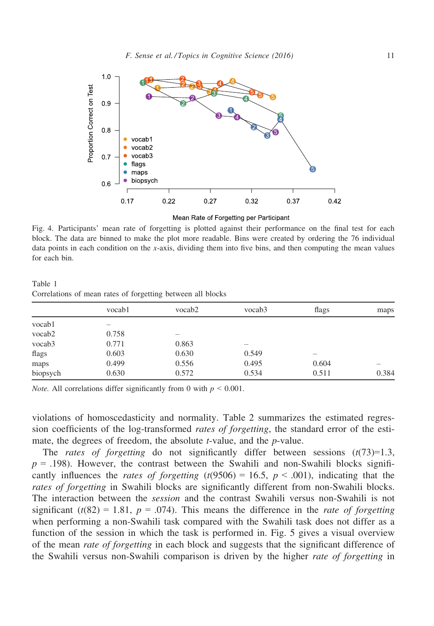

Mean Rate of Forgetting per Participant

Fig. 4. Participants' mean rate of forgetting is plotted against their performance on the final test for each block. The data are binned to make the plot more readable. Bins were created by ordering the 76 individual data points in each condition on the x-axis, dividing them into five bins, and then computing the mean values for each bin.

Table 1 Correlations of mean rates of forgetting between all blocks

|                    | vocab1 | vocab <sub>2</sub> | vocab <sub>3</sub> | flags | maps  |
|--------------------|--------|--------------------|--------------------|-------|-------|
| vocab1             |        |                    |                    |       |       |
| vocab <sub>2</sub> | 0.758  |                    |                    |       |       |
| vocab <sub>3</sub> | 0.771  | 0.863              |                    |       |       |
| flags              | 0.603  | 0.630              | 0.549              |       |       |
| maps               | 0.499  | 0.556              | 0.495              | 0.604 |       |
| biopsych           | 0.630  | 0.572              | 0.534              | 0.511 | 0.384 |

*Note.* All correlations differ significantly from 0 with  $p \le 0.001$ .

violations of homoscedasticity and normality. Table 2 summarizes the estimated regression coefficients of the log-transformed rates of forgetting, the standard error of the estimate, the degrees of freedom, the absolute *t*-value, and the *p*-value.

The *rates of forgetting* do not significantly differ between sessions  $(t(73)=1.3)$ ,  $p = 0.198$ . However, the contrast between the Swahili and non-Swahili blocks significantly influences the *rates of forgetting* ( $t(9506) = 16.5$ ,  $p < .001$ ), indicating that the rates of forgetting in Swahili blocks are significantly different from non-Swahili blocks. The interaction between the session and the contrast Swahili versus non-Swahili is not significant ( $t(82) = 1.81$ ,  $p = .074$ ). This means the difference in the *rate of forgetting* when performing a non-Swahili task compared with the Swahili task does not differ as a function of the session in which the task is performed in. Fig. 5 gives a visual overview of the mean rate of forgetting in each block and suggests that the significant difference of the Swahili versus non-Swahili comparison is driven by the higher rate of forgetting in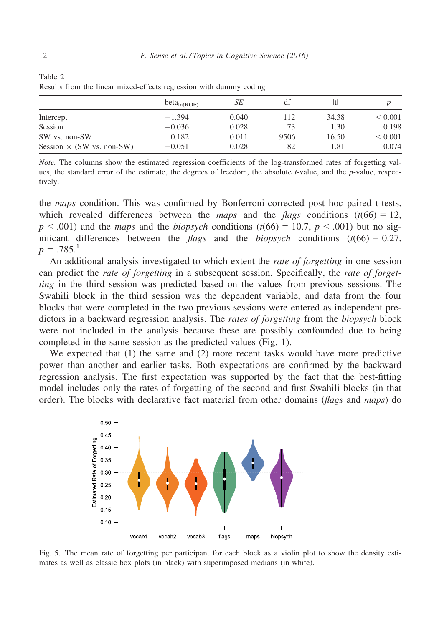|                                  | $beta_{In(ROF)}$ | SЕ    | df   | ltl   |             |  |
|----------------------------------|------------------|-------|------|-------|-------------|--|
| Intercept                        | $-1.394$         | 0.040 | 112  | 34.38 | ${}< 0.001$ |  |
| Session                          | $-0.036$         | 0.028 | 73   | 1.30  | 0.198       |  |
| SW vs. non-SW                    | 0.182            | 0.011 | 9506 | 16.50 | ${}< 0.001$ |  |
| Session $\times$ (SW vs. non-SW) | $-0.051$         | 0.028 | 82   | 1.81  | 0.074       |  |

Table 2 Results from the linear mixed-effects regression with dummy coding

Note. The columns show the estimated regression coefficients of the log-transformed rates of forgetting values, the standard error of the estimate, the degrees of freedom, the absolute t-value, and the p-value, respectively.

the *maps* condition. This was confirmed by Bonferroni-corrected post hoc paired t-tests, which revealed differences between the *maps* and the *flags* conditions  $(t(66) = 12$ ,  $p \leq 0.001$ ) and the *maps* and the *biopsych* conditions (t(66) = 10.7, p < .001) but no significant differences between the *flags* and the *biopsych* conditions  $(t(66) = 0.27$ ,  $p = .785$ <sup>1</sup>

An additional analysis investigated to which extent the rate of forgetting in one session can predict the *rate of forgetting* in a subsequent session. Specifically, the *rate of forget*ting in the third session was predicted based on the values from previous sessions. The Swahili block in the third session was the dependent variable, and data from the four blocks that were completed in the two previous sessions were entered as independent predictors in a backward regression analysis. The *rates of forgetting* from the *biopsych* block were not included in the analysis because these are possibly confounded due to being completed in the same session as the predicted values (Fig. 1).

We expected that (1) the same and (2) more recent tasks would have more predictive power than another and earlier tasks. Both expectations are confirmed by the backward regression analysis. The first expectation was supported by the fact that the best-fitting model includes only the rates of forgetting of the second and first Swahili blocks (in that order). The blocks with declarative fact material from other domains (*flags* and *maps*) do



Fig. 5. The mean rate of forgetting per participant for each block as a violin plot to show the density estimates as well as classic box plots (in black) with superimposed medians (in white).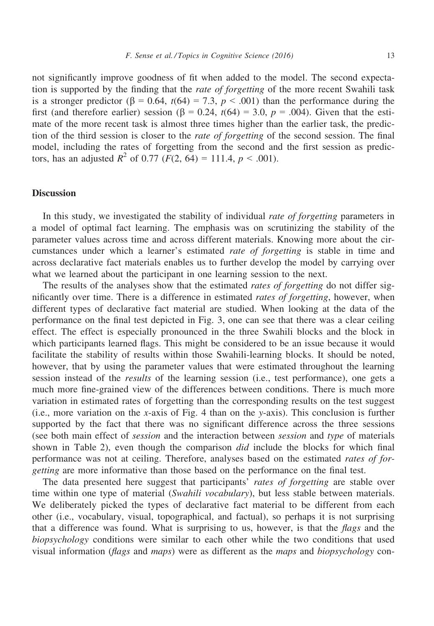not significantly improve goodness of fit when added to the model. The second expectation is supported by the finding that the *rate of forgetting* of the more recent Swahili task is a stronger predictor ( $\beta = 0.64$ ,  $t(64) = 7.3$ ,  $p < .001$ ) than the performance during the first (and therefore earlier) session ( $\beta = 0.24$ ,  $t(64) = 3.0$ ,  $p = .004$ ). Given that the estimate of the more recent task is almost three times higher than the earlier task, the prediction of the third session is closer to the *rate of forgetting* of the second session. The final model, including the rates of forgetting from the second and the first session as predictors, has an adjusted  $R^2$  of 0.77 ( $F(2, 64) = 111.4, p < .001$ ).

## **Discussion**

In this study, we investigated the stability of individual *rate of forgetting* parameters in a model of optimal fact learning. The emphasis was on scrutinizing the stability of the parameter values across time and across different materials. Knowing more about the circumstances under which a learner's estimated rate of forgetting is stable in time and across declarative fact materials enables us to further develop the model by carrying over what we learned about the participant in one learning session to the next.

The results of the analyses show that the estimated *rates of forgetting* do not differ significantly over time. There is a difference in estimated rates of forgetting, however, when different types of declarative fact material are studied. When looking at the data of the performance on the final test depicted in Fig. 3, one can see that there was a clear ceiling effect. The effect is especially pronounced in the three Swahili blocks and the block in which participants learned flags. This might be considered to be an issue because it would facilitate the stability of results within those Swahili-learning blocks. It should be noted, however, that by using the parameter values that were estimated throughout the learning session instead of the results of the learning session (i.e., test performance), one gets a much more fine-grained view of the differences between conditions. There is much more variation in estimated rates of forgetting than the corresponding results on the test suggest (i.e., more variation on the x-axis of Fig. 4 than on the y-axis). This conclusion is further supported by the fact that there was no significant difference across the three sessions (see both main effect of session and the interaction between session and type of materials shown in Table 2), even though the comparison *did* include the blocks for which final performance was not at ceiling. Therefore, analyses based on the estimated rates of forgetting are more informative than those based on the performance on the final test.

The data presented here suggest that participants' rates of forgetting are stable over time within one type of material (Swahili vocabulary), but less stable between materials. We deliberately picked the types of declarative fact material to be different from each other (i.e., vocabulary, visual, topographical, and factual), so perhaps it is not surprising that a difference was found. What is surprising to us, however, is that the flags and the biopsychology conditions were similar to each other while the two conditions that used visual information (flags and maps) were as different as the maps and biopsychology con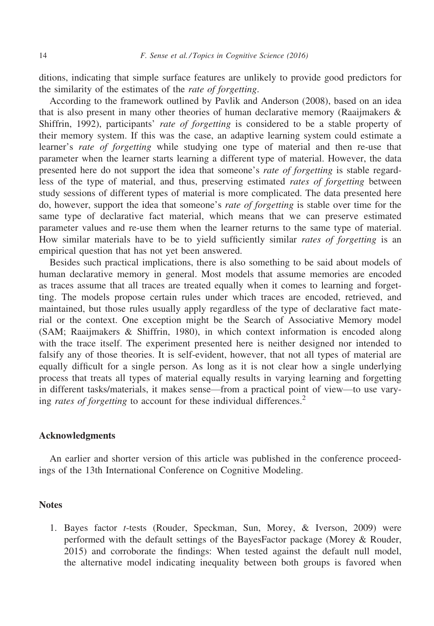ditions, indicating that simple surface features are unlikely to provide good predictors for the similarity of the estimates of the rate of forgetting.

According to the framework outlined by Pavlik and Anderson (2008), based on an idea that is also present in many other theories of human declarative memory (Raaijmakers  $\&$ Shiffrin, 1992), participants' rate of forgetting is considered to be a stable property of their memory system. If this was the case, an adaptive learning system could estimate a learner's rate of forgetting while studying one type of material and then re-use that parameter when the learner starts learning a different type of material. However, the data presented here do not support the idea that someone's rate of forgetting is stable regardless of the type of material, and thus, preserving estimated *rates of forgetting* between study sessions of different types of material is more complicated. The data presented here do, however, support the idea that someone's rate of forgetting is stable over time for the same type of declarative fact material, which means that we can preserve estimated parameter values and re-use them when the learner returns to the same type of material. How similar materials have to be to yield sufficiently similar *rates of forgetting* is an empirical question that has not yet been answered.

Besides such practical implications, there is also something to be said about models of human declarative memory in general. Most models that assume memories are encoded as traces assume that all traces are treated equally when it comes to learning and forgetting. The models propose certain rules under which traces are encoded, retrieved, and maintained, but those rules usually apply regardless of the type of declarative fact material or the context. One exception might be the Search of Associative Memory model (SAM; Raaijmakers & Shiffrin, 1980), in which context information is encoded along with the trace itself. The experiment presented here is neither designed nor intended to falsify any of those theories. It is self-evident, however, that not all types of material are equally difficult for a single person. As long as it is not clear how a single underlying process that treats all types of material equally results in varying learning and forgetting in different tasks/materials, it makes sense—from a practical point of view—to use varying *rates of forgetting* to account for these individual differences.<sup>2</sup>

## Acknowledgments

An earlier and shorter version of this article was published in the conference proceedings of the 13th International Conference on Cognitive Modeling.

## **Notes**

1. Bayes factor t-tests (Rouder, Speckman, Sun, Morey, & Iverson, 2009) were performed with the default settings of the BayesFactor package (Morey & Rouder, 2015) and corroborate the findings: When tested against the default null model, the alternative model indicating inequality between both groups is favored when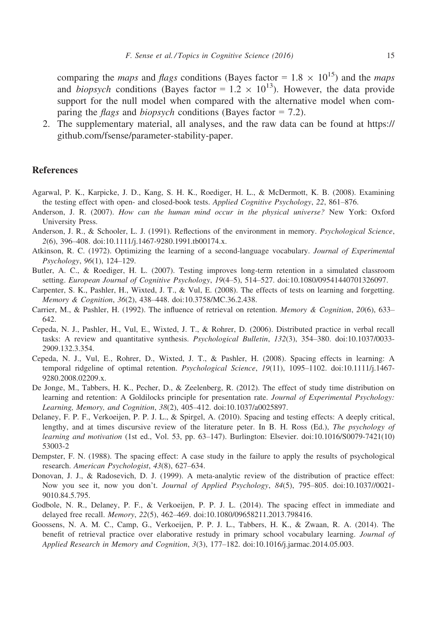comparing the *maps* and *flags* conditions (Bayes factor =  $1.8 \times 10^{15}$ ) and the *maps* and *biopsych* conditions (Bayes factor =  $1.2 \times 10^{13}$ ). However, the data provide support for the null model when compared with the alternative model when comparing the *flags* and *biopsych* conditions (Bayes factor  $= 7.2$ ).

2. The supplementary material, all analyses, and the raw data can be found at [https://](https://github.com/fsense/parameter-stability-paper) [github.com/fsense/parameter-stability-paper.](https://github.com/fsense/parameter-stability-paper)

## References

- Agarwal, P. K., Karpicke, J. D., Kang, S. H. K., Roediger, H. L., & McDermott, K. B. (2008). Examining the testing effect with open- and closed-book tests. Applied Cognitive Psychology, 22, 861–876.
- Anderson, J. R. (2007). How can the human mind occur in the physical universe? New York: Oxford University Press.
- Anderson, J. R., & Schooler, L. J. (1991). Reflections of the environment in memory. Psychological Science, 2(6), 396–408. doi[:10.1111/j.1467-9280.1991.tb00174.x](http://dx.doi.org/10.1111/j.1467-9280.1991.tb00174.x).
- Atkinson, R. C. (1972). Optimizing the learning of a second-language vocabulary. Journal of Experimental Psychology, 96(1), 124–129.
- Butler, A. C., & Roediger, H. L. (2007). Testing improves long-term retention in a simulated classroom setting. European Journal of Cognitive Psychology, 19(4–5), 514–527. doi:[10.1080/09541440701326097.](http://dx.doi.org/10.1080/09541440701326097)
- Carpenter, S. K., Pashler, H., Wixted, J. T., & Vul, E. (2008). The effects of tests on learning and forgetting. Memory & Cognition, 36(2), 438–448. doi:[10.3758/MC.36.2.438.](http://dx.doi.org/10.3758/MC.36.2.438)
- Carrier, M., & Pashler, H. (1992). The influence of retrieval on retention. *Memory & Cognition*, 20(6), 633– 642.
- Cepeda, N. J., Pashler, H., Vul, E., Wixted, J. T., & Rohrer, D. (2006). Distributed practice in verbal recall tasks: A review and quantitative synthesis. Psychological Bulletin, 132(3), 354-380. doi:[10.1037/0033-](http://dx.doi.org/10.1037/0033-2909.132.3.354) [2909.132.3.354.](http://dx.doi.org/10.1037/0033-2909.132.3.354)
- Cepeda, N. J., Vul, E., Rohrer, D., Wixted, J. T., & Pashler, H. (2008). Spacing effects in learning: A temporal ridgeline of optimal retention. Psychological Science, 19(11), 1095–1102. doi:[10.1111/j.1467-](http://dx.doi.org/10.1111/j.1467-9280.2008.02209.x) [9280.2008.02209.x.](http://dx.doi.org/10.1111/j.1467-9280.2008.02209.x)
- De Jonge, M., Tabbers, H. K., Pecher, D., & Zeelenberg, R. (2012). The effect of study time distribution on learning and retention: A Goldilocks principle for presentation rate. Journal of Experimental Psychology: Learning, Memory, and Cognition, 38(2), 405–412. doi:[10.1037/a0025897.](http://dx.doi.org/10.1037/a0025897)
- Delaney, F. P. F., Verkoeijen, P. P. J. L., & Spirgel, A. (2010). Spacing and testing effects: A deeply critical, lengthy, and at times discursive review of the literature peter. In B. H. Ross (Ed.), The psychology of learning and motivation (1st ed., Vol. 53, pp. 63–147). Burlington: Elsevier. doi:[10.1016/S0079-7421\(10\)](http://dx.doi.org/10.1016/S0079-7421(10)53003-2) [53003-2](http://dx.doi.org/10.1016/S0079-7421(10)53003-2)
- Dempster, F. N. (1988). The spacing effect: A case study in the failure to apply the results of psychological research. American Psychologist, 43(8), 627–634.
- Donovan, J. J., & Radosevich, D. J. (1999). A meta-analytic review of the distribution of practice effect: Now you see it, now you don't. Journal of Applied Psychology, 84(5), 795–805. doi[:10.1037//0021-](http://dx.doi.org/10.1037//0021-9010.84.5.795) [9010.84.5.795](http://dx.doi.org/10.1037//0021-9010.84.5.795).
- Godbole, N. R., Delaney, P. F., & Verkoeijen, P. P. J. L. (2014). The spacing effect in immediate and delayed free recall. Memory, 22(5), 462–469. doi[:10.1080/09658211.2013.798416.](http://dx.doi.org/10.1080/09658211.2013.798416)
- Goossens, N. A. M. C., Camp, G., Verkoeijen, P. P. J. L., Tabbers, H. K., & Zwaan, R. A. (2014). The benefit of retrieval practice over elaborative restudy in primary school vocabulary learning. Journal of Applied Research in Memory and Cognition, 3(3), 177–182. doi[:10.1016/j.jarmac.2014.05.003](http://dx.doi.org/10.1016/j.jarmac.2014.05.003).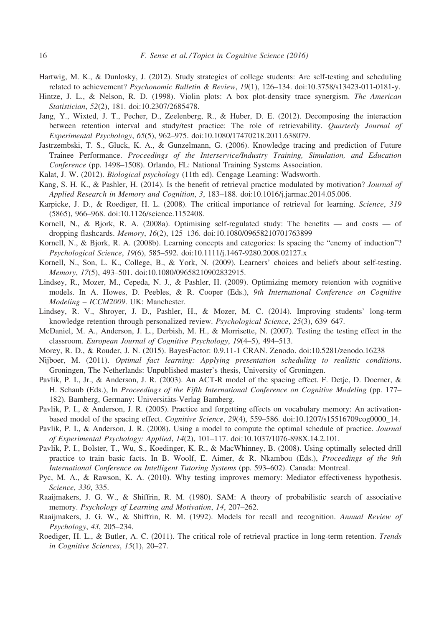- Hartwig, M. K., & Dunlosky, J. (2012). Study strategies of college students: Are self-testing and scheduling related to achievement? Psychonomic Bulletin & Review, 19(1), 126–134. doi[:10.3758/s13423-011-0181-y.](http://dx.doi.org/10.3758/s13423-011-0181-y)
- Hintze, J. L., & Nelson, R. D. (1998). Violin plots: A box plot-density trace synergism. The American Statistician, 52(2), 181. doi[:10.2307/2685478](http://dx.doi.org/10.2307/2685478).
- Jang, Y., Wixted, J. T., Pecher, D., Zeelenberg, R., & Huber, D. E. (2012). Decomposing the interaction between retention interval and study/test practice: The role of retrievability. Quarterly Journal of Experimental Psychology, 65(5), 962–975. doi:[10.1080/17470218.2011.638079](http://dx.doi.org/10.1080/17470218.2011.638079).
- Jastrzembski, T. S., Gluck, K. A., & Gunzelmann, G. (2006). Knowledge tracing and prediction of Future Trainee Performance. Proceedings of the Interservice/Industry Training, Simulation, and Education Conference (pp. 1498–1508). Orlando, FL: National Training Systems Association.
- Kalat, J. W. (2012). Biological psychology (11th ed). Cengage Learning: Wadsworth.
- Kang, S. H. K., & Pashler, H. (2014). Is the benefit of retrieval practice modulated by motivation? Journal of Applied Research in Memory and Cognition, 3, 183–188. doi[:10.1016/j.jarmac.2014.05.006](http://dx.doi.org/10.1016/j.jarmac.2014.05.006).
- Karpicke, J. D., & Roediger, H. L. (2008). The critical importance of retrieval for learning. Science, 319 (5865), 966–968. doi:[10.1126/science.1152408.](http://dx.doi.org/10.1126/science.1152408)
- Kornell, N., & Bjork, R. A. (2008a). Optimising self-regulated study: The benefits and costs of dropping flashcards. Memory, 16(2), 125–136. doi:[10.1080/09658210701763899](http://dx.doi.org/10.1080/09658210701763899)
- Kornell, N., & Bjork, R. A. (2008b). Learning concepts and categories: Is spacing the "enemy of induction"? Psychological Science, 19(6), 585–592. doi[:10.1111/j.1467-9280.2008.02127.x](http://dx.doi.org/10.1111/j.1467-9280.2008.02127.x)
- Kornell, N., Son, L. K., College, B., & York, N. (2009). Learners' choices and beliefs about self-testing. Memory, 17(5), 493–501. doi[:10.1080/09658210902832915](http://dx.doi.org/10.1080/09658210902832915).
- Lindsey, R., Mozer, M., Cepeda, N. J., & Pashler, H. (2009). Optimizing memory retention with cognitive models. In A. Howes, D. Peebles, & R. Cooper (Eds.), 9th International Conference on Cognitive Modeling – ICCM2009. UK: Manchester.
- Lindsey, R. V., Shroyer, J. D., Pashler, H., & Mozer, M. C. (2014). Improving students' long-term knowledge retention through personalized review. Psychological Science, 25(3), 639–647.
- McDaniel, M. A., Anderson, J. L., Derbish, M. H., & Morrisette, N. (2007). Testing the testing effect in the classroom. European Journal of Cognitive Psychology, 19(4–5), 494–513.
- Morey, R. D., & Rouder, J. N. (2015). BayesFactor: 0.9.11-1 CRAN. Zenodo. doi[:10.5281/zenodo.16238](http://dx.doi.org/10.5281/zenodo.16238)
- Nijboer, M. (2011). Optimal fact learning: Applying presentation scheduling to realistic conditions. Groningen, The Netherlands: Unpublished master's thesis, University of Groningen.
- Pavlik, P. I., Jr., & Anderson, J. R. (2003). An ACT-R model of the spacing effect. F. Detje, D. Doerner, & H. Schaub (Eds.), In Proceedings of the Fifth International Conference on Cognitive Modeling (pp. 177– 182). Bamberg, Germany: Universitäts-Verlag Bamberg.
- Pavlik, P. I., & Anderson, J. R. (2005). Practice and forgetting effects on vocabulary memory: An activationbased model of the spacing effect. Cognitive Science, 29(4), 559–586. doi:[10.1207/s15516709cog0000\\_14](http://dx.doi.org/10.1207/s15516709cog0000_14).
- Pavlik, P. I., & Anderson, J. R. (2008). Using a model to compute the optimal schedule of practice. Journal of Experimental Psychology: Applied, 14(2), 101–117. doi:[10.1037/1076-898X.14.2.101.](http://dx.doi.org/10.1037/1076-898X.14.2.101)
- Pavlik, P. I., Bolster, T., Wu, S., Koedinger, K. R., & MacWhinney, B. (2008). Using optimally selected drill practice to train basic facts. In B. Woolf, E. Aimer, & R. Nkambou (Eds.), Proceedings of the 9th International Conference on Intelligent Tutoring Systems (pp. 593–602). Canada: Montreal.
- Pyc, M. A., & Rawson, K. A. (2010). Why testing improves memory: Mediator effectiveness hypothesis. Science, 330, 335.
- Raaijmakers, J. G. W., & Shiffrin, R. M. (1980). SAM: A theory of probabilistic search of associative memory. Psychology of Learning and Motivation, 14, 207–262.
- Raaijmakers, J. G. W., & Shiffrin, R. M. (1992). Models for recall and recognition. Annual Review of Psychology, 43, 205–234.
- Roediger, H. L., & Butler, A. C. (2011). The critical role of retrieval practice in long-term retention. Trends in Cognitive Sciences, 15(1), 20–27.